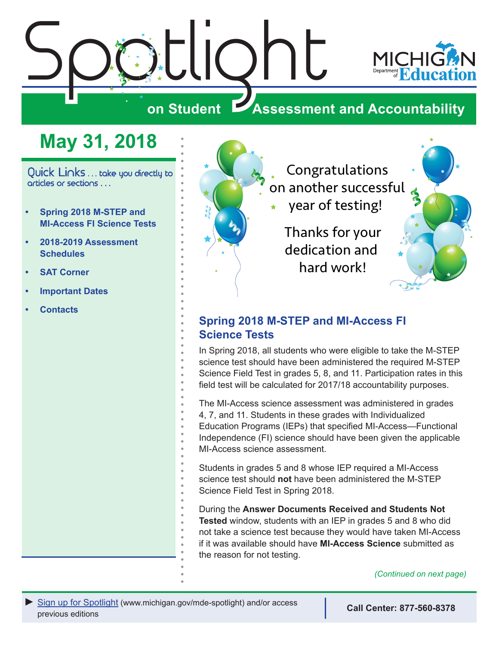<span id="page-0-0"></span>

## **May 31, 2018**

Quick Links . . . take you directly to articles or sections . . .

- **• Spring 2018 M-STEP and MI-Access FI Science Tests**
- **• [2018-2019 Assessment](#page-1-0)  [Schedules](#page-1-0)**
- **• [SAT Corner](#page-2-0)**
- **• [Important Dates](#page-4-0)**
- **• [Contacts](#page-5-0)**



Congratulations on another successful

year of testing!

Thanks for your dedication and hard work!



## **Spring 2018 M-STEP and MI-Access FI Science Tests**

In Spring 2018, all students who were eligible to take the M-STEP science test should have been administered the required M-STEP Science Field Test in grades 5, 8, and 11. Participation rates in this field test will be calculated for 2017/18 accountability purposes.

The MI-Access science assessment was administered in grades 4, 7, and 11. Students in these grades with Individualized Education Programs (IEPs) that specified MI-Access—Functional Independence (FI) science should have been given the applicable MI-Access science assessment.

Students in grades 5 and 8 whose IEP required a MI-Access science test should **not** have been administered the M-STEP Science Field Test in Spring 2018.

During the **Answer Documents Received and Students Not Tested** window, students with an IEP in grades 5 and 8 who did not take a science test because they would have taken MI-Access if it was available should have **MI-Access Science** submitted as the reason for not testing.

*(Continued on next page)*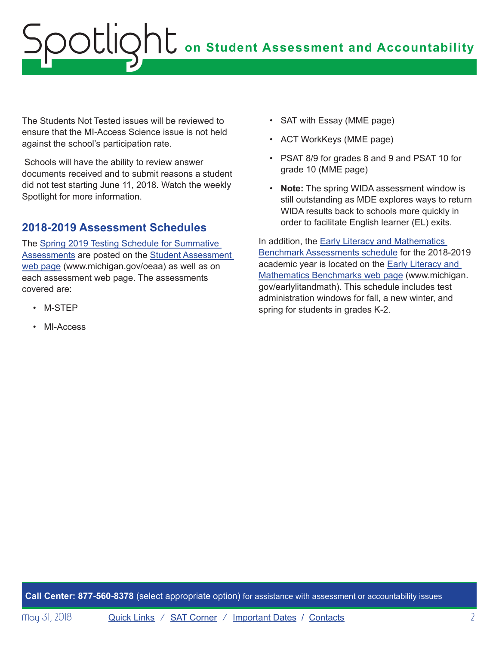# <span id="page-1-0"></span>**on Student Assessment and Accountability** Spotlight

The Students Not Tested issues will be reviewed to ensure that the MI-Access Science issue is not held against the school's participation rate.

 Schools will have the ability to review answer documents received and to submit reasons a student did not test starting June 11, 2018. Watch the weekly Spotlight for more information.

### **2018-2019 Assessment Schedules**

The [Spring 2019 Testing Schedule for Summative](/documents/mde/Testing_Schedule_for_Summative_Assessments_635008_7.pdf)  [Assessments](/documents/mde/Testing_Schedule_for_Summative_Assessments_635008_7.pdf) are posted on the [Student Assessment](http://www.michigan.gov/oeaa)  [web page](http://www.michigan.gov/oeaa) (www.michigan.gov/oeaa) as well as on each assessment web page. The assessments covered are:

- M-STEP
- MI-Access
- SAT with Essay (MME page)
- ACT WorkKeys (MME page)
- PSAT 8/9 for grades 8 and 9 and PSAT 10 for grade 10 (MME page)
- **Note:** The spring WIDA assessment window is still outstanding as MDE explores ways to return WIDA results back to schools more quickly in order to facilitate English learner (EL) exits.

In addition, the **Early Literacy and Mathematics** [Benchmark Assessments schedule](https://www.michigan.gov/documents/mde/K-2_Testing_Schedule_624389_7.pdf) for the 2018-2019 academic year is located on the **Early Literacy and** [Mathematics Benchmarks web page](www.michigan.gov/earlylitandmath) (www.michigan. gov/earlylitandmath). This schedule includes test administration windows for fall, a new winter, and spring for students in grades K-2.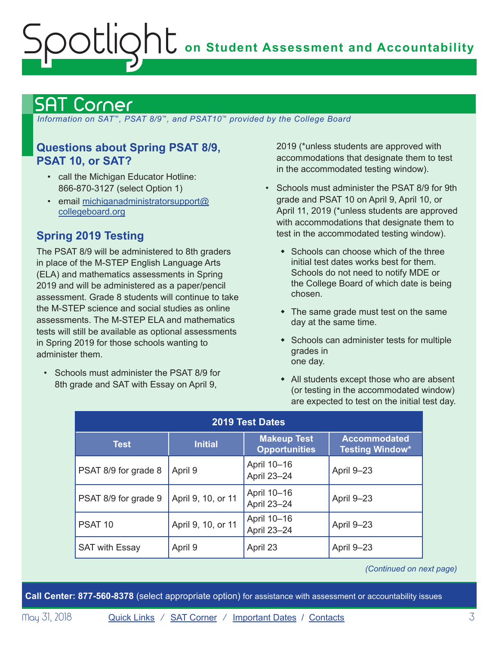# <span id="page-2-0"></span>**on Student Assessment and Accountability** Spotlight

## <span id="page-2-1"></span>Corner

 *Information on SAT*™*, PSAT 8/9*™*, and PSAT10*™ *provided by the College Board*

### **Questions about Spring PSAT 8/9, PSAT 10, or SAT?**

- call the Michigan Educator Hotline: 866-870-3127 (select Option 1)
- email [michiganadministratorsupport@](mailto:michiganadministratorsupport%40collegeboard.org?subject=) [collegeboard.org](mailto:michiganadministratorsupport%40collegeboard.org?subject=)

## **Spring 2019 Testing**

The PSAT 8/9 will be administered to 8th graders in place of the M-STEP English Language Arts (ELA) and mathematics assessments in Spring 2019 and will be administered as a paper/pencil assessment. Grade 8 students will continue to take the M-STEP science and social studies as online assessments. The M-STEP ELA and mathematics tests will still be available as optional assessments in Spring 2019 for those schools wanting to administer them.

• Schools must administer the PSAT 8/9 for 8th grade and SAT with Essay on April 9,

2019 (\*unless students are approved with accommodations that designate them to test in the accommodated testing window).

- Schools must administer the PSAT 8/9 for 9th grade and PSAT 10 on April 9, April 10, or April 11, 2019 (\*unless students are approved with accommodations that designate them to test in the accommodated testing window).
	- $\bullet$  Schools can choose which of the three initial test dates works best for them. Schools do not need to notify MDE or the College Board of which date is being chosen.
	- $\bullet$  The same grade must test on the same day at the same time.
	- Schools can administer tests for multiple grades in one day.
	- $\bullet$  All students except those who are absent (or testing in the accommodated window) are expected to test on the initial test day.

| <b>2019 Test Dates</b> |                    |                                            |                                               |
|------------------------|--------------------|--------------------------------------------|-----------------------------------------------|
| <b>Test</b>            | <b>Initial</b>     | <b>Makeup Test</b><br><b>Opportunities</b> | <b>Accommodated</b><br><b>Testing Window*</b> |
| PSAT 8/9 for grade 8   | April 9            | April 10-16<br>April 23-24                 | April 9-23                                    |
| PSAT 8/9 for grade 9   | April 9, 10, or 11 | April 10-16<br>April 23-24                 | April 9-23                                    |
| PSAT <sub>10</sub>     | April 9, 10, or 11 | April 10-16<br>April 23-24                 | April 9-23                                    |
| <b>SAT with Essay</b>  | April 9            | April 23                                   | April 9-23                                    |

*(Continued on next page)*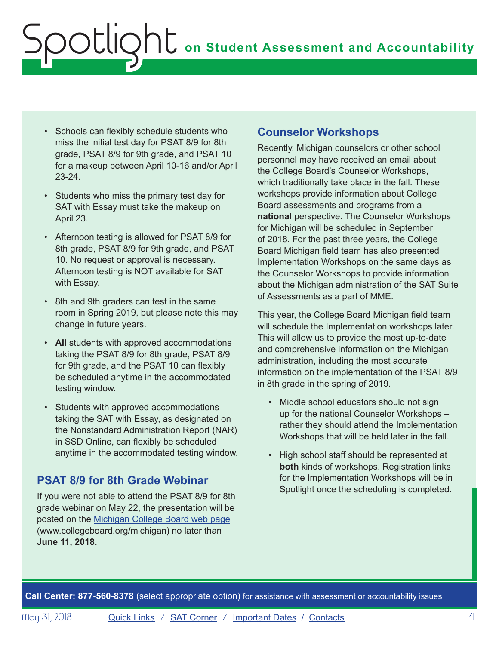- Schools can flexibly schedule students who miss the initial test day for PSAT 8/9 for 8th grade, PSAT 8/9 for 9th grade, and PSAT 10 for a makeup between April 10-16 and/or April 23-24.
- Students who miss the primary test day for SAT with Essay must take the makeup on April 23.
- Afternoon testing is allowed for PSAT 8/9 for 8th grade, PSAT 8/9 for 9th grade, and PSAT 10. No request or approval is necessary. Afternoon testing is NOT available for SAT with Essay.
- 8th and 9th graders can test in the same room in Spring 2019, but please note this may change in future years.
- **All** students with approved accommodations taking the PSAT 8/9 for 8th grade, PSAT 8/9 for 9th grade, and the PSAT 10 can flexibly be scheduled anytime in the accommodated testing window.
- Students with approved accommodations taking the SAT with Essay, as designated on the Nonstandard Administration Report (NAR) in SSD Online, can flexibly be scheduled anytime in the accommodated testing window.

## **PSAT 8/9 for 8th Grade Webinar**

If you were not able to attend the PSAT 8/9 for 8th grade webinar on May 22, the presentation will be posted on the [Michigan College Board web page](http://www.collegeboard.org/michigan) (www.collegeboard.org/michigan) no later than **June 11, 2018**.

## **Counselor Workshops**

Recently, Michigan counselors or other school personnel may have received an email about the College Board's Counselor Workshops, which traditionally take place in the fall. These workshops provide information about College Board assessments and programs from a **national** perspective. The Counselor Workshops for Michigan will be scheduled in September of 2018. For the past three years, the College Board Michigan field team has also presented Implementation Workshops on the same days as the Counselor Workshops to provide information about the Michigan administration of the SAT Suite of Assessments as a part of MME.

This year, the College Board Michigan field team will schedule the Implementation workshops later. This will allow us to provide the most up-to-date and comprehensive information on the Michigan administration, including the most accurate information on the implementation of the PSAT 8/9 in 8th grade in the spring of 2019.

- Middle school educators should not sign up for the national Counselor Workshops – rather they should attend the Implementation Workshops that will be held later in the fall.
- High school staff should be represented at **both** kinds of workshops. Registration links for the Implementation Workshops will be in Spotlight once the scheduling is completed.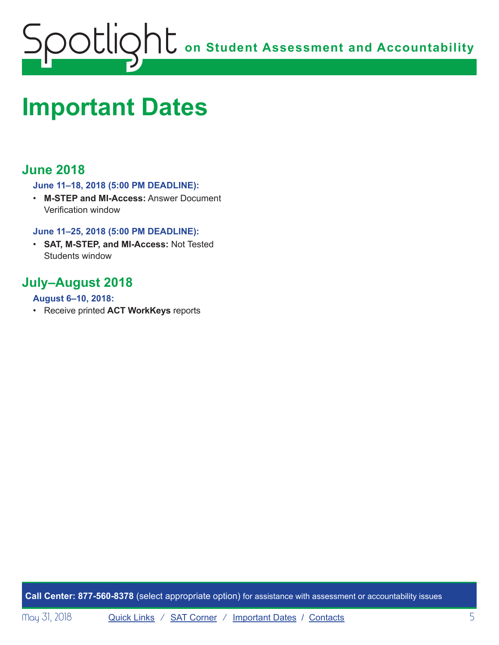<span id="page-4-0"></span>

## <span id="page-4-1"></span>**Important Dates**

## **June 2018**

#### **June 11–18, 2018 (5:00 PM DEADLINE):**

• **M-STEP and MI-Access:** Answer Document Verification window

#### **June 11–25, 2018 (5:00 PM DEADLINE):**

• **SAT, M-STEP, and MI-Access:** Not Tested Students window

## **July–August 2018**

#### **August 6–10, 2018:**

• Receive printed **ACT WorkKeys** reports